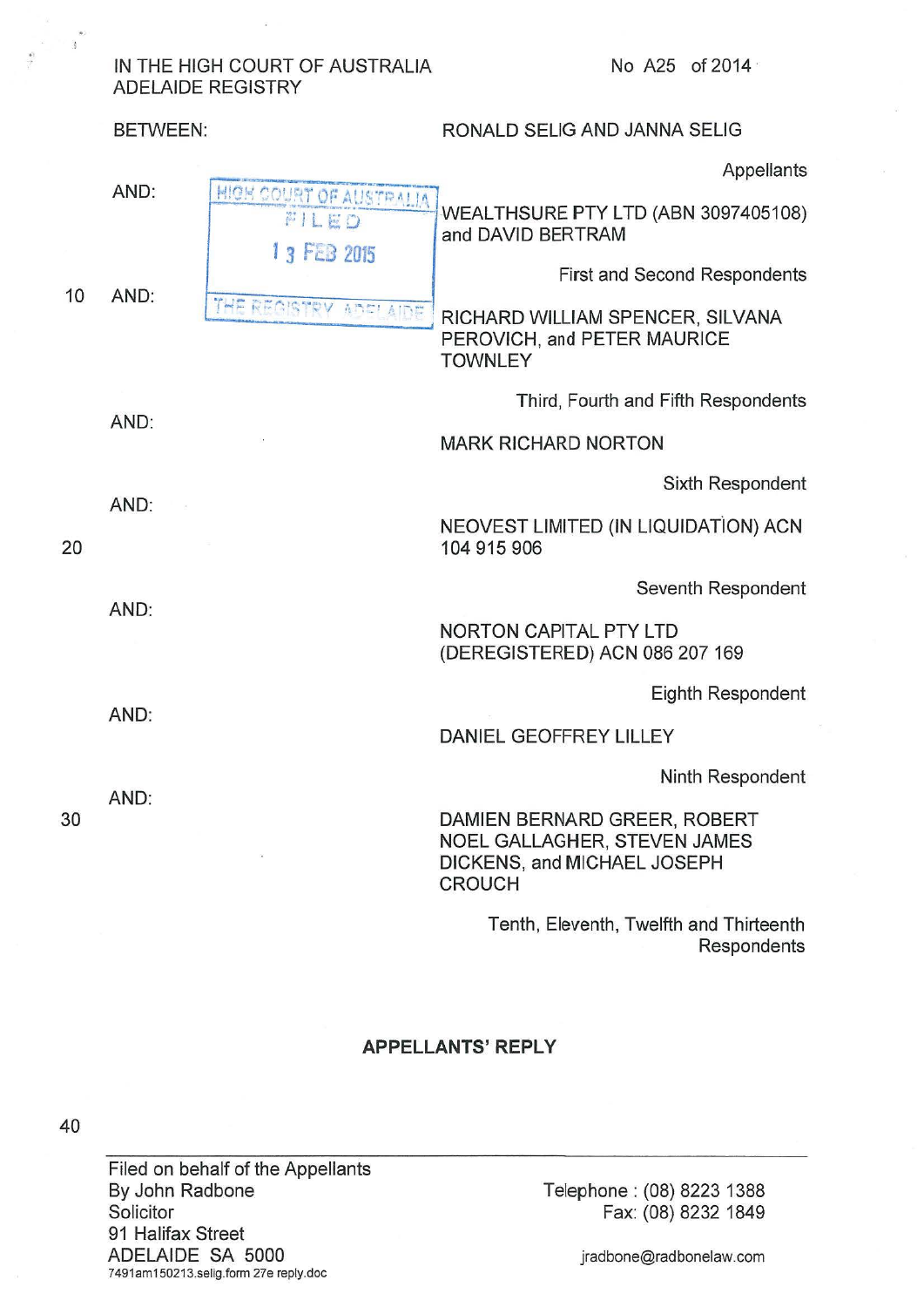## IN THE HIGH COURT OF AUSTRALIA No A25 of 2014 · ADELAIDE REGISTRY

BETWEEN: RONALD SELIG AND JANNA SELIG **Appellants** AND: HIGH COURT OF AUSTRALIA WEALTHSURE PTY LTD (ABN 3097405108) FILED and DAVID BERTRAM 1 3 FEB 2015 First and Second Respondents 10 AND: THE REGISTRY ADE' AIDE RICHARD WILLIAM SPENCER, SILVANA PEROVICH, and PETER MAURICE **TOWNLEY** Third, Fourth and Fifth Respondents AND: MARK RICHARD NORTON Sixth Respondent AND: NEOVEST LIMITED (IN LIQUIDATiON) ACN 20 104 915 906 Seventh Respondent AND: NORTON CAPITAL PTY LTD (DEREGISTERED) ACN 086 207 169 Eighth Respondent AND: DANIEL GEOFFREY LILLEY Ninth Respondent AND: 30 DAMIEN BERNARD GREER, ROBERT NOEL GALLAGHER, STEVEN JAMES DICKENS, and MICHAEL JOSEPH CROUCH

> Tenth, Eleventh, Twelfth and Thirteenth **Respondents**

## **APPELLANTS' REPLY**

40

Filed on behalf of the Appellants By John Radbone **Solicitor** 91 Halifax Street ADELAIDE SA 5000 7491am150213.selig.form 27e reply.doc

Telephone : (08) 8223 1388 Fax: (08) 8232 1849

jradbone@radbonelaw.com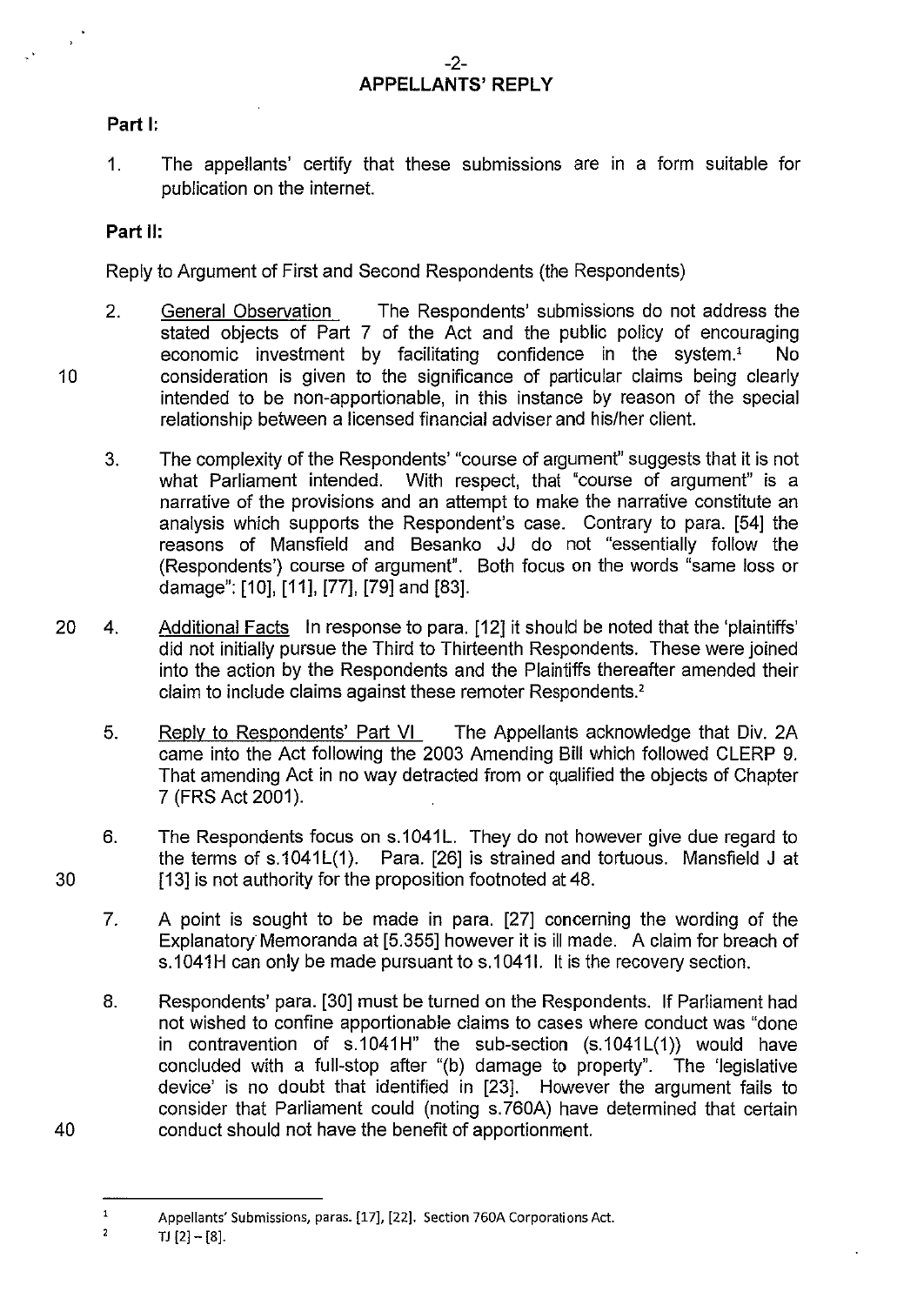## **Part 1:**

1. The appellants' certify that these submissions are in a form suitable for publication on the internet.

## **Part II:**

Reply to Argument of First and Second Respondents (the Respondents)

- 2. General Observation The Respondents' submissions do not address the stated objects of Part 7 of the Act and the public policy of encouraging economic investment by facilitating confidence in the system.' No consideration is given to the significance of particular claims being clearly intended to be non-apportionable, in this instance by reason of the special relationship between a licensed financial adviser and his/her client.
- 3. The complexity of the Respondents' "course of argument" suggests that it is not what Parliament intended. With respect, that "course of argument" is a narrative of the provisions and an attempt to make the narrative constitute an analysis which supports the Respondent's case. Contrary to para. [54] the reasons of Mansfield and Besanko JJ do not "essentially follow the (Respondents') course of argument". Both focus on the words "same loss or damage": [10], [11], [77], [79] and [83].
- 20 4. Additional Facts In response to para. [12] it should be noted that the 'plaintiffs' did not initially pursue the Third to Thirteenth Respondents. These were joined into the action by the Respondents and the Plaintiffs thereafter amended their claim to include claims against these remoter Respondents.<sup>2</sup>
	- 5. Reply to Respondents' Part VI The Appellants acknowledge that Div. 2A came into the Act following the 2003 Amending Bill which followed CLERP 9. That amending Act in no way detracted from or qualified the objects of Chapter 7 (FRS Act 2001 ).
	- 6. The Respondents focus on s.1041L. They do not however give due regard to the terms of  $s.1041L(1)$ . Para. [26] is strained and tortuous. Mansfield J at [13] is not authority for the proposition footnoted at 48.
	- 7. A point is sought to be made in para. [27] concerning the wording of the Explanatory Memoranda at [5.355] however it is ill made. A claim for breach of s.1041H can only be made pursuant to s.1041I. It is the recovery section.
	- 8. Respondents' para. [30] must be turned on the Respondents. If Parliament had not wished to confine apportionable claims to cases where conduct was "done in contravention of  $s.1041H''$  the sub-section  $(s.1041L(1))$  would have concluded with a full-stop after "(b) damage to property". The 'legislative device' is no doubt that identified in [23]. However the argument fails to consider that Parliament could (noting s. 760A) have determined that certain conduct should not have the benefit of apportionment.

10

 $\mathcal{A}$ 

30

40

 $\mathbf 1$ Appellants' Submissions, paras. [17], [22]. Section 760A Corporations Act.

 $\overline{\mathbf{c}}$ TJ [2]- [8].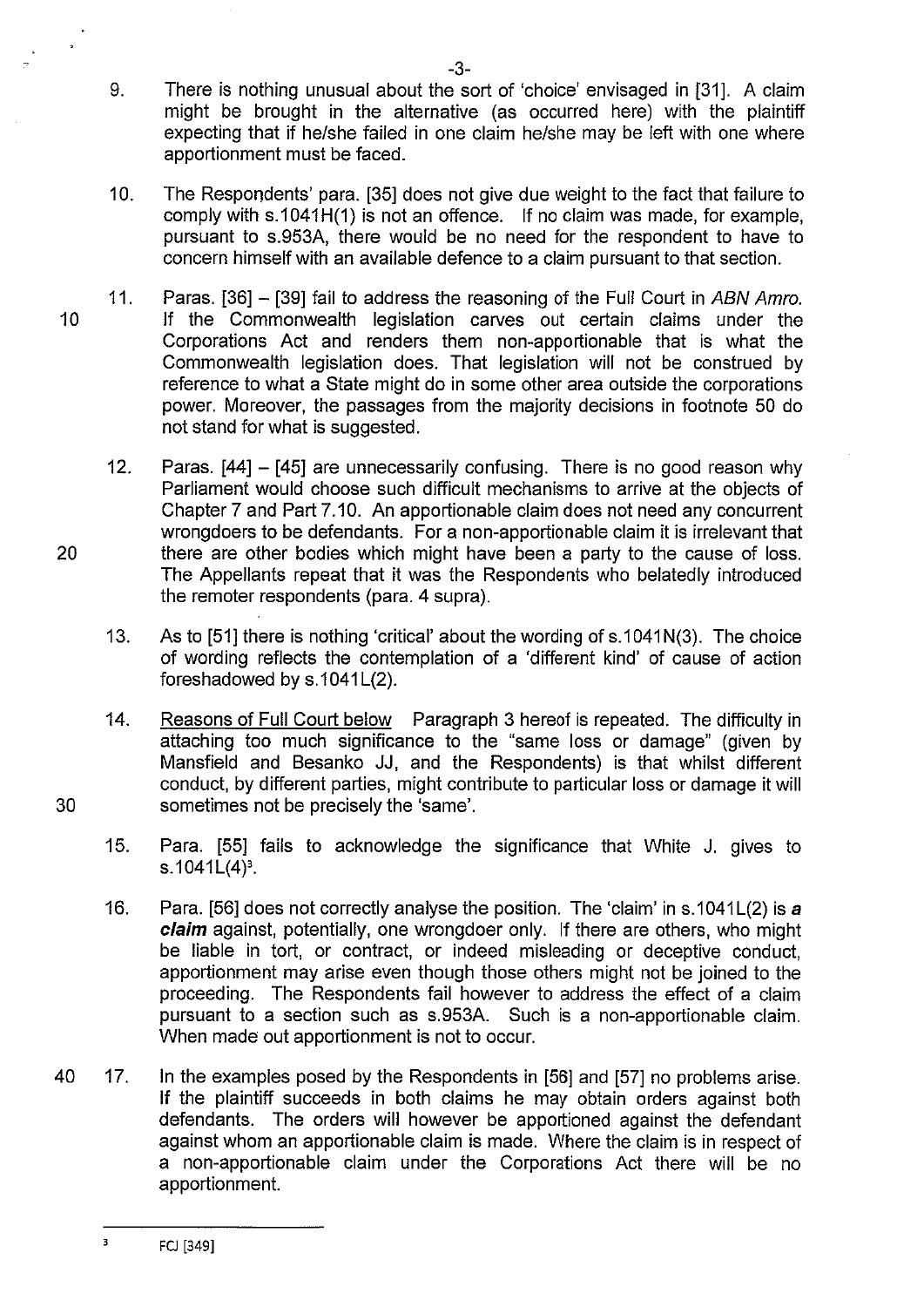- 9. There is nothing unusual about the sort of 'choice' envisaged in [31]. A claim might be brought in the alternative (as occurred here) with the plaintiff expecting that if he/she failed in one claim he/she may be left with one where apportionment must be faced.
- 10. The Respondents' para. [35] does not give due weight to the fact that failure to comply with s.1041H(1) is not an offence. If no claim was made, for example, pursuant to s.953A, there would be no need for the respondent to have to concern himself with an available defence to a claim pursuant to that section.
- 11. Paras. [36] [39] fail to address the reasoning of the Full Court in ABN Amro. 10 If the Commonwealth legislation carves out certain claims under the Corporations Act and renders them non-apportionable that is what the Commonwealth legislation does. That legislation will not be construed by reference to what a State might do in some other area outside the corporations power. Moreover, the passages from the majority decisions in footnote 50 do not stand for what is suggested.
- 12. Paras. [44] [45] are unnecessarily confusing. There is no good reason why Parliament would choose such difficult mechanisms to arrive at the objects of Chapter 7 and Part 7.10. An apportionable claim does not need any concurrent wrongdoers to be defendants. For a non-apportionable claim it is irrelevant that 20 there are other bodies which might have been a party to the cause of loss. The Appellants repeat that it was the Respondents who belatedly introduced the remoter respondents (para. 4 supra).
	- 13. As to [51] there is nothing 'critical' about the wording of s.1 041 N(3). The choice of wording reflects the contemplation of a 'different kind' of cause of action foreshadowed by  $s.1041L(2)$ .
- 14. Reasons of Full Court below Paragraph 3 hereof is repeated. The difficulty in attaching too much significance to the "same loss or damage" (given by Mansfield and Besanko JJ, and the Respondents) is that whilst different conduct, by different parties, might contribute to particular loss or damage it will 30 sometimes not be precisely the 'same'.
	- 15. Para. [55] fails to acknowledge the significance that White J. gives to s.1041 $L(4)^3$ .
	- 16. Para. [56] does not correctly analyse the position. The 'claim' in s.1041 $L(2)$  is a **claim** against, potentially, one wrongdoer only. If there are others, who might be liable in tort, or contract, or indeed misleading or deceptive conduct, apportionment may arise even though those others might not be joined to the proceeding. The Respondents fail however to address the effect of a claim pursuant to a section such as s.953A. Such is a non-apportionable claim. When made out apportionment is not to occur.
- 40 17. In the examples posed by the Respondents in [56] and [57] no problems arise. If the plaintiff succeeds in both claims he *may* obtain orders against both defendants. The orders will however be apportioned against the defendant against whom an apportionable claim is made. Where the claim is in respect of a non-apportionable claim under the Corporations Act there will be no apportionment.

 $\overline{\mathbf{3}}$ FCJ [349]

 $\ddot{ }$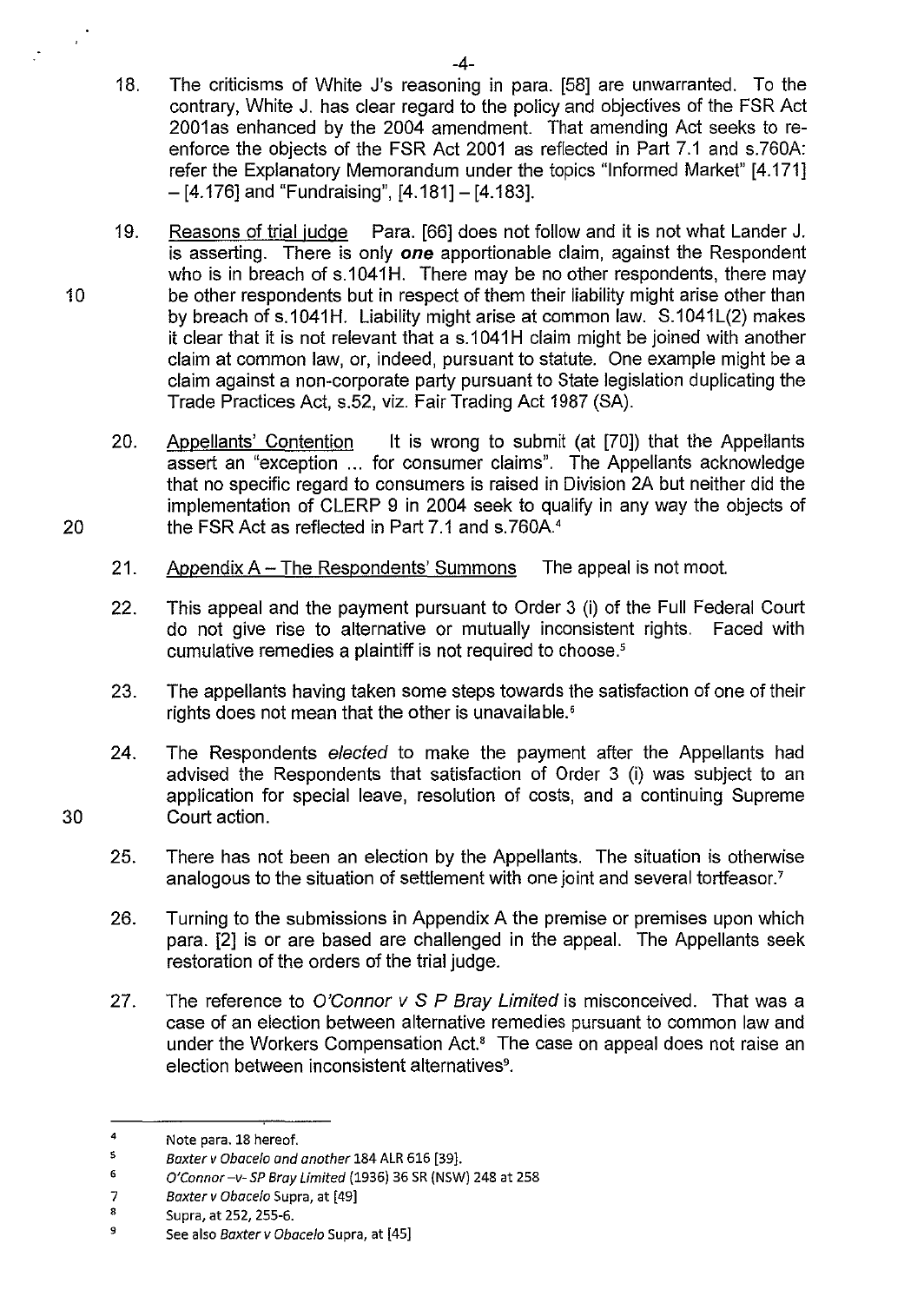- 18. The criticisms of White J's reasoning in para. [58] are unwarranted. To the contrary, White J. has clear regard to the policy and objectives of the FSR Act 2001 as enhanced by the 2004 amendment. That amending Act seeks to reenforce the objects of the FSR Act 2001 as reflected in Part 7.1 and s.760A: refer the Explanatory Memorandum under the topics "Informed Market" [4.171] - [4.176] and "Fundraising", [4.181]- [4.183].
- 19. Reasons of trial judge Para. [66] does not follow and it is not what Lander J. is asserting. There is only *one* apportionable claim, against the Respondent who is in breach of s.1041H. There may be no other respondents, there may 10 be other respondents but in respect of them their liability might arise other than by breach of s.1041H. Liability might arise at common law. S.1041L(2) makes it clear that it is not relevant that a s.1041H claim might be joined with another claim at common law, or, indeed, pursuant to statute. One example might be a claim against a non-corporate party pursuant to State legislation duplicating the Trade Practices Act, s.52, viz. Fair Trading Act 1987 (SA).
- 20. Appellants' Contention It is wrong to submit (at [70]) that the Appellants assert an "exception ... for consumer claims". The Appellants acknowledge that no specific regard to consumers is raised in Division 2A but neither did the implementation of CLERP 9 in 2004 seek to qualify in any way the objects of 20 the FSR Act as reflected in Part 7.1 and s.760A.<sup>4</sup>
	- 21. Appendix A The Respondents' Summons The appeal is not moot.
	- 22. This appeal and the payment pursuant to Order 3 (i) of the Full Federal Court do not give rise to alternative or mutually inconsistent rights. Faced with cumulative remedies a plaintiff is not required to choose.'
	- 23. The appellants having taken some steps towards the satisfaction of one of their rights does not mean that the other is unavailable.'
- 24. The Respondents elected to make the payment after the Appellants had advised the Respondents that satisfaction of Order 3 (i) was subject to an application for special leave, resolution of costs, and a continuing Supreme 30 Court action.
	- 25. There has not been an election by the Appellants. The situation is otherwise analogous to the situation of settlement with one joint and several tortfeasor.<sup>7</sup>
	- 26. Turning to the submissions in Appendix A the premise or premises upon which para. [2] is or are based are challenged in the appeal. The Appellants seek restoration of the orders of the trial judge.
	- 27. The reference to O'Connor  $v S P$  Bray Limited is misconceived. That was a case of an election between alternative remedies pursuant to common law and under the Workers Compensation Act.<sup>8</sup> The case on appeal does not raise an election between inconsistent alternatives<sup>9</sup>.

<sup>4</sup>  Note para. 18 hereof.

<sup>5</sup>  Baxter v Obacelo and another 184 ALR 616 [39].

<sup>6</sup>  O'Connor -v- SP Bray Limited (1936) 36 SR (NSW) 248 at 258

<sup>7</sup>  Baxter v Obacelo Supra, at [49]

<sup>8</sup>  Supra, at 252, 255-6.

<sup>9</sup>  See also Baxter v Obacelo Supra, at [45]